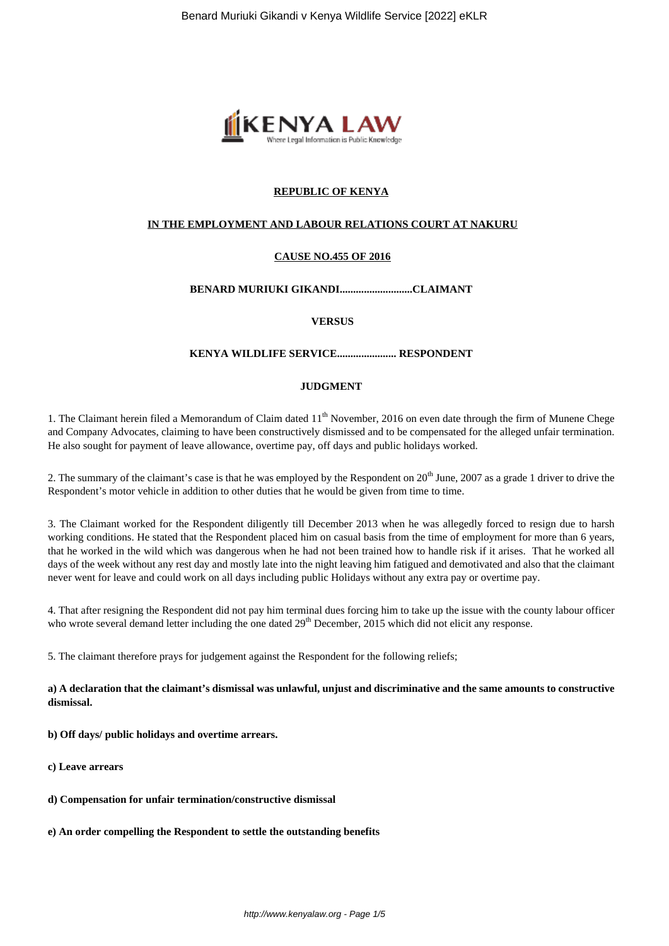

# **REPUBLIC OF KENYA**

## **IN THE EMPLOYMENT AND LABOUR RELATIONS COURT AT NAKURU**

# **CAUSE NO.455 OF 2016**

# **BENARD MURIUKI GIKANDI...........................CLAIMANT**

## **VERSUS**

# **KENYA WILDLIFE SERVICE...................... RESPONDENT**

# **JUDGMENT**

1. The Claimant herein filed a Memorandum of Claim dated 11<sup>th</sup> November, 2016 on even date through the firm of Munene Chege and Company Advocates, claiming to have been constructively dismissed and to be compensated for the alleged unfair termination. He also sought for payment of leave allowance, overtime pay, off days and public holidays worked.

2. The summary of the claimant's case is that he was employed by the Respondent on  $20^{th}$  June, 2007 as a grade 1 driver to drive the Respondent's motor vehicle in addition to other duties that he would be given from time to time.

3. The Claimant worked for the Respondent diligently till December 2013 when he was allegedly forced to resign due to harsh working conditions. He stated that the Respondent placed him on casual basis from the time of employment for more than 6 years, that he worked in the wild which was dangerous when he had not been trained how to handle risk if it arises. That he worked all days of the week without any rest day and mostly late into the night leaving him fatigued and demotivated and also that the claimant never went for leave and could work on all days including public Holidays without any extra pay or overtime pay.

4. That after resigning the Respondent did not pay him terminal dues forcing him to take up the issue with the county labour officer who wrote several demand letter including the one dated 29<sup>th</sup> December, 2015 which did not elicit any response.

5. The claimant therefore prays for judgement against the Respondent for the following reliefs;

**a) A declaration that the claimant's dismissal was unlawful, unjust and discriminative and the same amounts to constructive dismissal.**

**b) Off days/ public holidays and overtime arrears.**

- **c) Leave arrears**
- **d) Compensation for unfair termination/constructive dismissal**
- **e) An order compelling the Respondent to settle the outstanding benefits**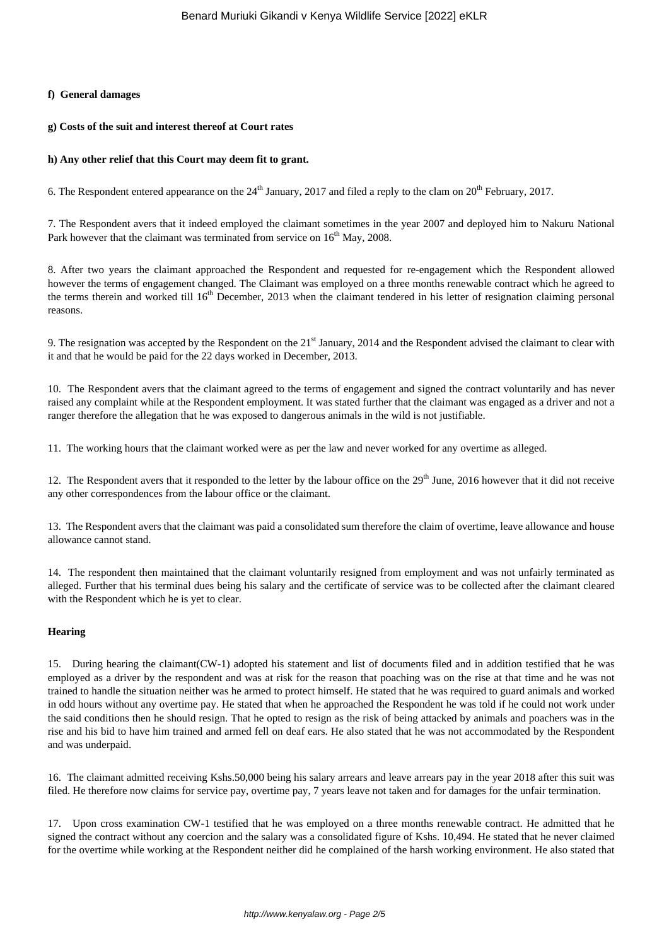#### **f) General damages**

#### **g) Costs of the suit and interest thereof at Court rates**

#### **h) Any other relief that this Court may deem fit to grant.**

6. The Respondent entered appearance on the  $24<sup>th</sup>$  January, 2017 and filed a reply to the clam on  $20<sup>th</sup>$  February, 2017.

7. The Respondent avers that it indeed employed the claimant sometimes in the year 2007 and deployed him to Nakuru National Park however that the claimant was terminated from service on 16<sup>th</sup> May, 2008.

8. After two years the claimant approached the Respondent and requested for re-engagement which the Respondent allowed however the terms of engagement changed. The Claimant was employed on a three months renewable contract which he agreed to the terms therein and worked till 16<sup>th</sup> December, 2013 when the claimant tendered in his letter of resignation claiming personal reasons.

9. The resignation was accepted by the Respondent on the  $21<sup>st</sup>$  January, 2014 and the Respondent advised the claimant to clear with it and that he would be paid for the 22 days worked in December, 2013.

10. The Respondent avers that the claimant agreed to the terms of engagement and signed the contract voluntarily and has never raised any complaint while at the Respondent employment. It was stated further that the claimant was engaged as a driver and not a ranger therefore the allegation that he was exposed to dangerous animals in the wild is not justifiable.

11. The working hours that the claimant worked were as per the law and never worked for any overtime as alleged.

12. The Respondent avers that it responded to the letter by the labour office on the 29<sup>th</sup> June, 2016 however that it did not receive any other correspondences from the labour office or the claimant.

13. The Respondent avers that the claimant was paid a consolidated sum therefore the claim of overtime, leave allowance and house allowance cannot stand.

14. The respondent then maintained that the claimant voluntarily resigned from employment and was not unfairly terminated as alleged. Further that his terminal dues being his salary and the certificate of service was to be collected after the claimant cleared with the Respondent which he is yet to clear.

## **Hearing**

15. During hearing the claimant(CW-1) adopted his statement and list of documents filed and in addition testified that he was employed as a driver by the respondent and was at risk for the reason that poaching was on the rise at that time and he was not trained to handle the situation neither was he armed to protect himself. He stated that he was required to guard animals and worked in odd hours without any overtime pay. He stated that when he approached the Respondent he was told if he could not work under the said conditions then he should resign. That he opted to resign as the risk of being attacked by animals and poachers was in the rise and his bid to have him trained and armed fell on deaf ears. He also stated that he was not accommodated by the Respondent and was underpaid.

16. The claimant admitted receiving Kshs.50,000 being his salary arrears and leave arrears pay in the year 2018 after this suit was filed. He therefore now claims for service pay, overtime pay, 7 years leave not taken and for damages for the unfair termination.

17. Upon cross examination CW-1 testified that he was employed on a three months renewable contract. He admitted that he signed the contract without any coercion and the salary was a consolidated figure of Kshs. 10,494. He stated that he never claimed for the overtime while working at the Respondent neither did he complained of the harsh working environment. He also stated that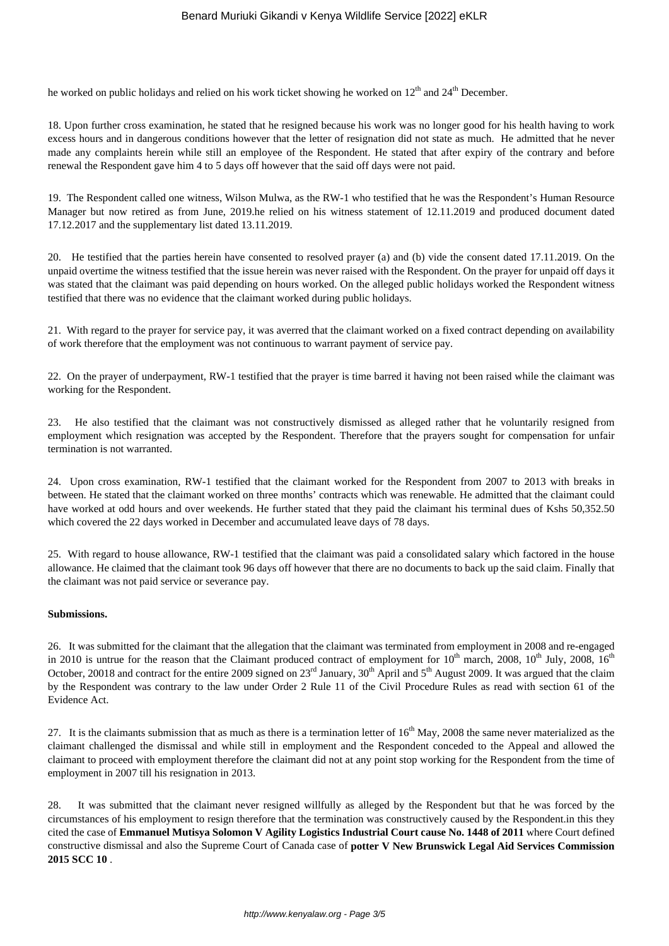he worked on public holidays and relied on his work ticket showing he worked on  $12<sup>th</sup>$  and  $24<sup>th</sup>$  December.

18. Upon further cross examination, he stated that he resigned because his work was no longer good for his health having to work excess hours and in dangerous conditions however that the letter of resignation did not state as much. He admitted that he never made any complaints herein while still an employee of the Respondent. He stated that after expiry of the contrary and before renewal the Respondent gave him 4 to 5 days off however that the said off days were not paid.

19. The Respondent called one witness, Wilson Mulwa, as the RW-1 who testified that he was the Respondent's Human Resource Manager but now retired as from June, 2019.he relied on his witness statement of 12.11.2019 and produced document dated 17.12.2017 and the supplementary list dated 13.11.2019.

20. He testified that the parties herein have consented to resolved prayer (a) and (b) vide the consent dated 17.11.2019. On the unpaid overtime the witness testified that the issue herein was never raised with the Respondent. On the prayer for unpaid off days it was stated that the claimant was paid depending on hours worked. On the alleged public holidays worked the Respondent witness testified that there was no evidence that the claimant worked during public holidays.

21. With regard to the prayer for service pay, it was averred that the claimant worked on a fixed contract depending on availability of work therefore that the employment was not continuous to warrant payment of service pay.

22. On the prayer of underpayment, RW-1 testified that the prayer is time barred it having not been raised while the claimant was working for the Respondent.

23. He also testified that the claimant was not constructively dismissed as alleged rather that he voluntarily resigned from employment which resignation was accepted by the Respondent. Therefore that the prayers sought for compensation for unfair termination is not warranted.

24. Upon cross examination, RW-1 testified that the claimant worked for the Respondent from 2007 to 2013 with breaks in between. He stated that the claimant worked on three months' contracts which was renewable. He admitted that the claimant could have worked at odd hours and over weekends. He further stated that they paid the claimant his terminal dues of Kshs 50,352.50 which covered the 22 days worked in December and accumulated leave days of 78 days.

25. With regard to house allowance, RW-1 testified that the claimant was paid a consolidated salary which factored in the house allowance. He claimed that the claimant took 96 days off however that there are no documents to back up the said claim. Finally that the claimant was not paid service or severance pay.

## **Submissions.**

26. It was submitted for the claimant that the allegation that the claimant was terminated from employment in 2008 and re-engaged in 2010 is untrue for the reason that the Claimant produced contract of employment for  $10^{th}$  march, 2008,  $10^{th}$  July, 2008,  $16^{th}$ October, 20018 and contract for the entire 2009 signed on  $23^{rd}$  January,  $30^{th}$  April and  $5^{th}$  August 2009. It was argued that the claim by the Respondent was contrary to the law under Order 2 Rule 11 of the Civil Procedure Rules as read with section 61 of the Evidence Act.

27. It is the claimants submission that as much as there is a termination letter of  $16<sup>th</sup>$  May, 2008 the same never materialized as the claimant challenged the dismissal and while still in employment and the Respondent conceded to the Appeal and allowed the claimant to proceed with employment therefore the claimant did not at any point stop working for the Respondent from the time of employment in 2007 till his resignation in 2013.

28. It was submitted that the claimant never resigned willfully as alleged by the Respondent but that he was forced by the circumstances of his employment to resign therefore that the termination was constructively caused by the Respondent.in this they cited the case of **Emmanuel Mutisya Solomon V Agility Logistics Industrial Court cause No. 1448 of 2011** where Court defined constructive dismissal and also the Supreme Court of Canada case of **potter V New Brunswick Legal Aid Services Commission 2015 SCC 10** .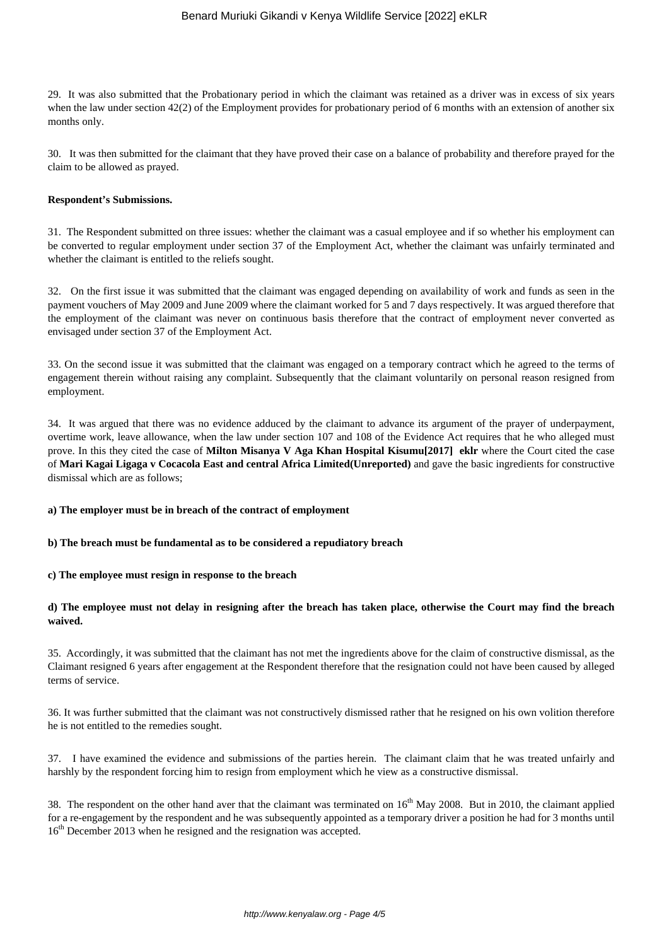29. It was also submitted that the Probationary period in which the claimant was retained as a driver was in excess of six years when the law under section 42(2) of the Employment provides for probationary period of 6 months with an extension of another six months only.

30. It was then submitted for the claimant that they have proved their case on a balance of probability and therefore prayed for the claim to be allowed as prayed.

#### **Respondent's Submissions.**

31. The Respondent submitted on three issues: whether the claimant was a casual employee and if so whether his employment can be converted to regular employment under section 37 of the Employment Act, whether the claimant was unfairly terminated and whether the claimant is entitled to the reliefs sought.

32. On the first issue it was submitted that the claimant was engaged depending on availability of work and funds as seen in the payment vouchers of May 2009 and June 2009 where the claimant worked for 5 and 7 days respectively. It was argued therefore that the employment of the claimant was never on continuous basis therefore that the contract of employment never converted as envisaged under section 37 of the Employment Act.

33. On the second issue it was submitted that the claimant was engaged on a temporary contract which he agreed to the terms of engagement therein without raising any complaint. Subsequently that the claimant voluntarily on personal reason resigned from employment.

34. It was argued that there was no evidence adduced by the claimant to advance its argument of the prayer of underpayment, overtime work, leave allowance, when the law under section 107 and 108 of the Evidence Act requires that he who alleged must prove. In this they cited the case of **Milton Misanya V Aga Khan Hospital Kisumu[2017] eklr** where the Court cited the case of **Mari Kagai Ligaga v Cocacola East and central Africa Limited(Unreported)** and gave the basic ingredients for constructive dismissal which are as follows;

**a) The employer must be in breach of the contract of employment**

**b) The breach must be fundamental as to be considered a repudiatory breach**

**c) The employee must resign in response to the breach**

## **d) The employee must not delay in resigning after the breach has taken place, otherwise the Court may find the breach waived.**

35. Accordingly, it was submitted that the claimant has not met the ingredients above for the claim of constructive dismissal, as the Claimant resigned 6 years after engagement at the Respondent therefore that the resignation could not have been caused by alleged terms of service.

36. It was further submitted that the claimant was not constructively dismissed rather that he resigned on his own volition therefore he is not entitled to the remedies sought.

37. I have examined the evidence and submissions of the parties herein. The claimant claim that he was treated unfairly and harshly by the respondent forcing him to resign from employment which he view as a constructive dismissal.

38. The respondent on the other hand aver that the claimant was terminated on  $16<sup>th</sup>$  May 2008. But in 2010, the claimant applied for a re-engagement by the respondent and he was subsequently appointed as a temporary driver a position he had for 3 months until 16<sup>th</sup> December 2013 when he resigned and the resignation was accepted.